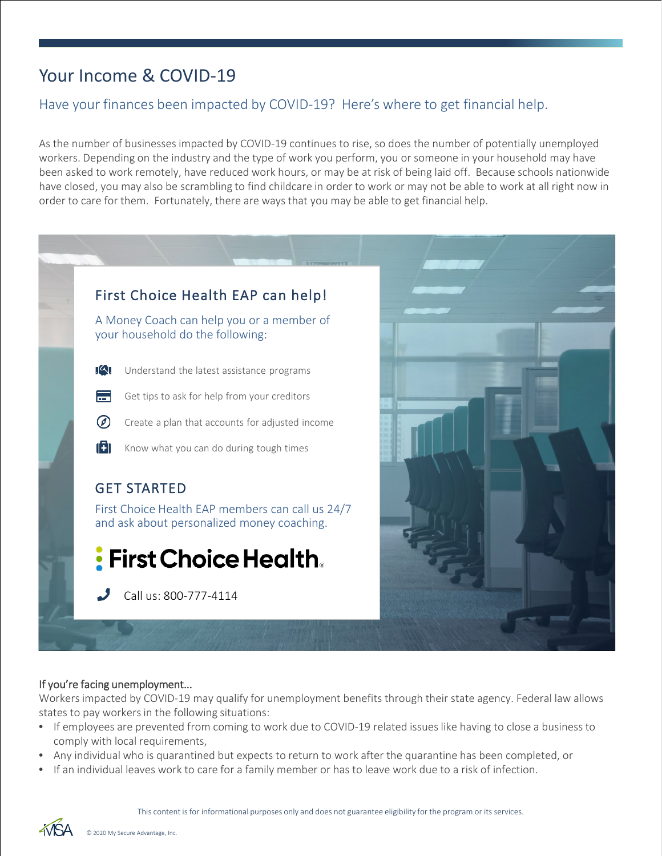# Your Income & COVID-19

### Have your finances been impacted by COVID-19? Here's where to get financial help.

As the number of businesses impacted by COVID-19 continues to rise, so does the number of potentially unemployed workers. Depending on the industry and the type of work you perform, you or someone in your household may have been asked to work remotely, have reduced work hours, or may be at risk of being laid off. Because schools nationwide have closed, you may also be scrambling to find childcare in order to work or may not be able to work at all right now in order to care for them. Fortunately, there are ways that you may be able to get financial help.



A Money Coach can help you or a member of your household do the following:

- Understand the latest assistance programs
	- Get tips to ask for help from your creditors
- $\odot$ Create a plan that accounts for adjusted income
- Know what you can do during tough times

### GET STARTED

First Choice Health EAP members can call us 24/7 and ask about personalized money coaching.



Call us: 800-777-4114



#### If you're facing unemployment...

Workers impacted by COVID-19 may qualify for unemployment benefits through their state agency. Federal law allows states to pay workers in the following situations:

- If employees are prevented from coming to work due to COVID-19 related issues like having to close a business to comply with local requirements,
- Any individual who is quarantined but expects to return to work after the quarantine has been completed, or
- If an individual leaves work to care for a family member or has to leave work due to a risk of infection.